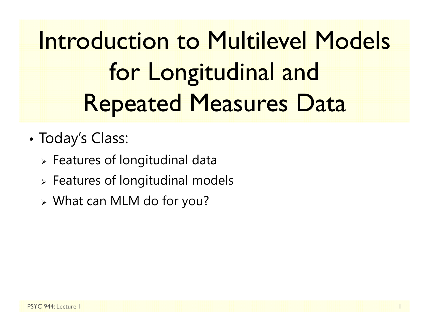Introduction to Multilevel Models for Longitudinal and Repeated Measures Data

- • Today's Class:
	- $\triangleright$  Features of longitudinal data
	- $\triangleright$  Features of longitudinal models
	- What can MLM do for you?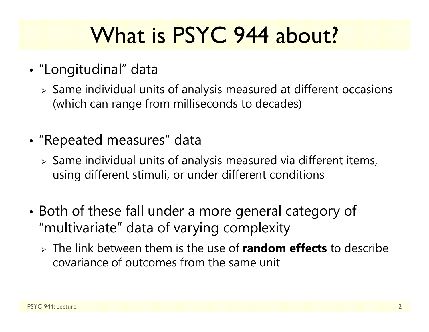# What is PSYC 944 about?

- • "Longitudinal" data
	- $\triangleright$  Same individual units of analysis measured at different occasions (which can range from milliseconds to decades)
- • "Repeated measures" data
	- $\triangleright$  Same individual units of analysis measured via different items, using different stimuli, or under different conditions
- • Both of these fall under a more general category of "multivariate" data of varying complexity
	- The link between them is the use of **random effects** to describe covariance of outcomes from the same unit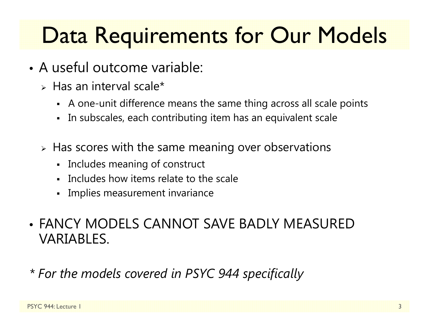### Data Requirements for Our Models

- A useful outcome variable:
	- $\triangleright$  Has an interval scale\*
		- A one-unit difference means the same thing across all scale points
		- $\blacksquare$ In subscales, each contributing item has an equivalent scale
	- $\triangleright$  Has scores with the same meaning over observations
		- Includes meaning of construct
		- Includes how items relate to the scale
		- Implies measurement invariance
- FANCY MODELS CANNOT SAVE BADLY MEASURED VARIABLES.
- *\* For the models covered in PSYC 944 specifically*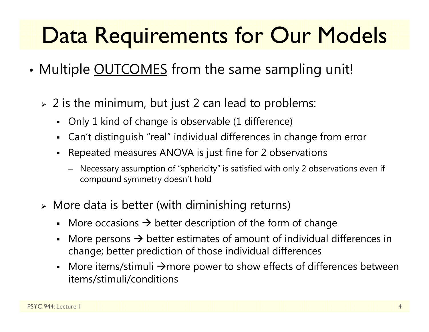# Data Requirements for Our Models

- •• Multiple <u>OUTCOMES</u> from the same sampling unit!
	- $\triangleright$  2 is the minimum, but just 2 can lead to problems:
		- Only 1 kind of change is observable (1 difference)
		- Can't distinguish "real" individual differences in change from error
		- Г Repeated measures ANOVA is just fine for 2 observations
			- Necessary assumption of "sphericity" is satisfied with only 2 observations even if compound symmetry doesn't hold
	- More data is better (with diminishing returns)
		- More occasions  $\rightarrow$  better description of the form of change
		- Г • More persons  $\rightarrow$  better estimates of amount of individual differences in change; better prediction of those individual differences
		- More items/stimuli  $\rightarrow$ more power to show effects of differences between items/stimuli/conditions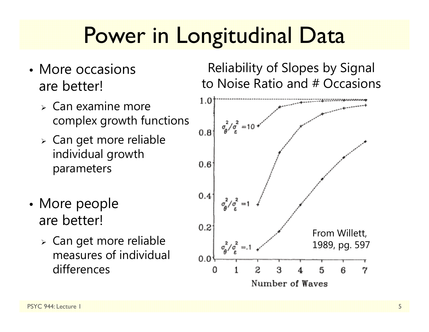### Power in Longitudinal Data

- More occasions are better!
	- $\triangleright$  Can examine more complex growth functions
	- Can get more reliable individual growth parameters
- •• More people are better!
	- Can get more reliable measures of individual differences

Reliability of Slopes by Signal to Noise Ratio and # Occasions

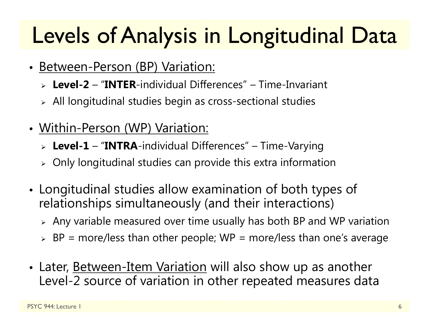# Levels of Analysis in Longitudinal Data

- Between-Person (BP) Variation:
	- **Level-2** "**INTER**-individual Differences" Time-Invariant
	- $\triangleright$  All longitudinal studies begin as cross-sectional studies
- Within-Person (WP) Variation:
	- **Level-1** "**INTRA**-individual Differences" Time-Varying
	- $\triangleright$  Only longitudinal studies can provide this extra information
- • Longitudinal studies allow examination of both types of relationships simultaneously (and their interactions)
	- $\triangleright$  Any variable measured over time usually has both BP and WP variation
	- $\triangleright$  BP = more/less than other people; WP = more/less than one's average
- Later, <u>Between-Item Variation</u> will also show up as another Level-2 source of variation in other repeated measures data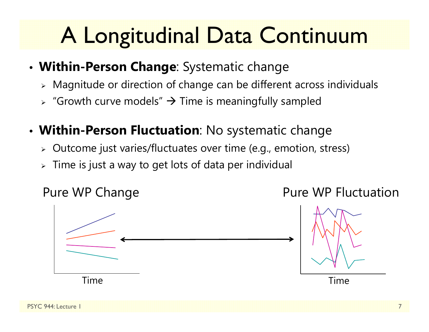# A Longitudinal Data Continuum

- **Within-Person Change**: Systematic change
	- $\triangleright$  Magnitude or direction of change can be different across individuals
	- $\triangleright$  "Growth curve models"  $\rightarrow$  Time is meaningfully sampled
- **Within-Person Fluctuation**: No systematic change
	- $\triangleright$   $\,$  Outcome just varies/fluctuates over time (e.g., emotion, stress)
	- $\triangleright\;$  Time is just a way to get lots of data per individual

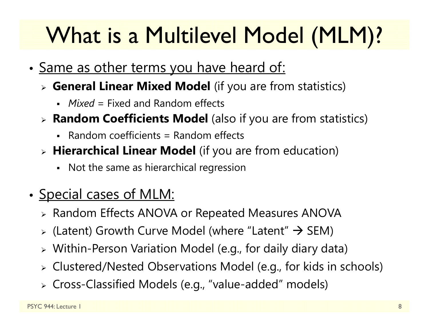# What is a Multilevel Model (MLM)?

- •• <u>Same as other terms you have heard of:</u>
	- **General Linear Mixed Model** (if you are from statistics)
		- *Mixed* = Fixed and Random effects
	- **Random Coefficients Model** (also if you are from statistics)
		- Random coefficients = Random effects
	- **Hierarchical Linear Model** (if you are from education)
		- Not the same as hierarchical regression
- •• <u>Special cases of MLM:</u>
	- Random Effects ANOVA or Repeated Measures ANOVA
	- $\triangleright$  (Latent) Growth Curve Model (where "Latent"  $\rightarrow$  SEM)
	- Within-Person Variation Model (e.g., for daily diary data)
	- Clustered/Nested Observations Model (e.g., for kids in schools)
	- Cross-Classified Models (e.g., "value-added" models)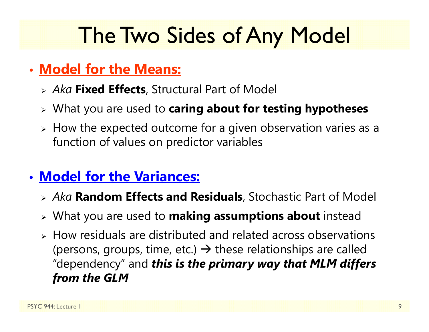### The Two Sides of Any Model

### • **Model for the Means:**

- *Aka* **Fixed Effects**, Structural Part of Model
- What you are used to **caring about for testing hypotheses**
- $\triangleright$  How the expected outcome for a given observation varies as a function of values on predictor variables

### • **Model for the Variances:**

- *Aka* **Random Effects and Residuals**, Stochastic Part of Model
- What you are used to **making assumptions about** instead
- $\triangleright$  How residuals are distributed and related across observations (persons, groups, time, etc.)  $\rightarrow$  these relationships are called "dependency" and *this is the primary way that MLM differs from the GLM*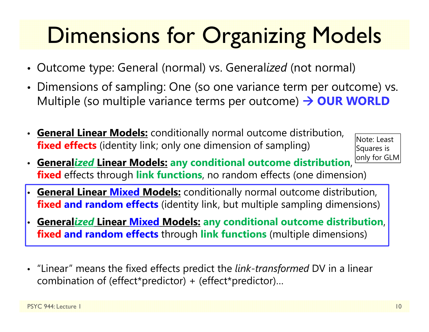# Dimensions for Organizing Models

- Outcome type: General (normal) vs. General*ized* (not normal)
- Dimensions of sampling: One (so one variance term per outcome) vs. Multiple (so multiple variance terms per outcome)  $\rightarrow$  **OUR WORLD**
- **General Linear Models:** conditionally normal outcome distribution, **fixed effects** (identity link; only one dimension of sampling)

Note: Least Squares is only for GLM

- **General***ized* **Linear Models: any conditional outcome distribution**, **fixed** effects through **link functions**, no random effects (one dimension)
- • **General Linear Mixed Models:** conditionally normal outcome distribution, **fixed and random effects** (identity link, but multiple sampling dimensions)
- • **General***ized* **Linear Mixed Models: any conditional outcome distribution**, **fixed and random effects** through **link functions** (multiple dimensions)
- "Linear" means the fixed effects predict the *link-transformed* DV in a linear combination of (effect\*predictor) + (effect\*predictor)…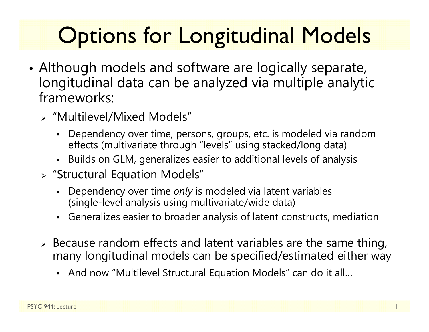# **Options for Longitudinal Models**

- • Although models and software are logically separate, longitudinal data can be analyzed via multiple analytic frameworks:
	- "Multilevel/Mixed Models"
		- Dependency over time, persons, groups, etc. is modeled via random effects (multivariate through "levels" using stacked/long data)
		- Builds on GLM, generalizes easier to additional levels of analysis
	- "Structural Equation Models"
		- Dependency over time *only* is modeled via latent variables (single-level analysis using multivariate/wide data)
		- Generalizes easier to broader analysis of latent constructs, mediation
	- $\triangleright$  Because random effects and latent variables are the same thing, many longitudinal models can be specified/estimated either way
		- And now "Multilevel Structural Equation Models" can do it all…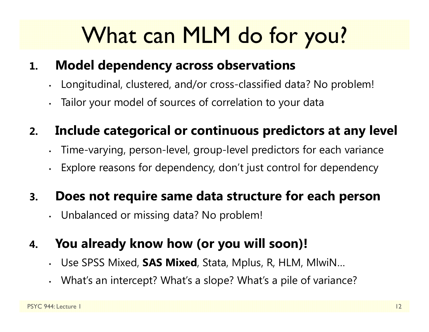# What can MLM do for you?

#### **1.Model dependency across observations**

- •Longitudinal, clustered, and/or cross-classified data? No problem!
- Tailor your model of sources of correlation to your data

#### **2.Include categorical or continuous predictors at any level**

- •Time-varying, person-level, group-level predictors for each variance
- •Explore reasons for dependency, don't just control for dependency

#### **3.Does not require same data structure for each person**

•Unbalanced or missing data? No problem!

#### **4.You already know how (or you will soon)!**

- •Use SPSS Mixed, **SAS Mixed**, Stata, Mplus, R, HLM, MlwiN…
- •What's an intercept? What's a slope? What's a pile of variance?

•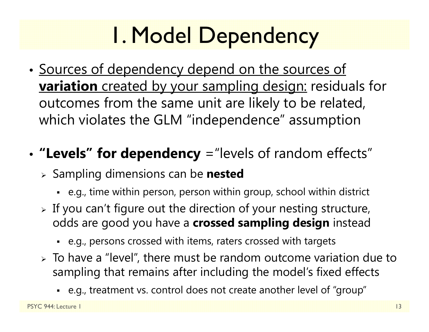# 1. Model Dependency

- •• Sources of dependency depend on the sources of **variation** created by your sampling design: residuals for outcomes from the same unit are likely to be related, which violates the GLM "independence" assumption
- • **"Levels" for dependency** ="levels of random effects"
	- Sampling dimensions can be **nested**
		- e.g., time within person, person within group, school within district
	- $\triangleright$  If you can't figure out the direction of your nesting structure, odds are good you have a **crossed sampling design** instead
		- e.g., persons crossed with items, raters crossed with targets
	- $\triangleright$  To have a "level", there must be random outcome variation due to sampling that remains after including the model's fixed effects
		- e.g., treatment vs. control does not create another level of "group"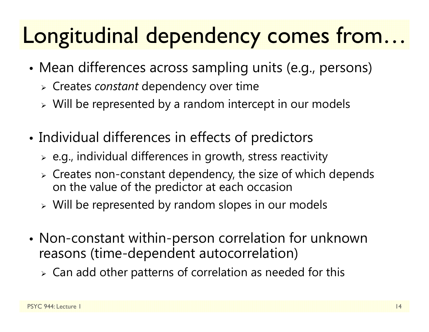### Longitudinal dependency comes from…

- • Mean differences across sampling units (e.g., persons)
	- Creates *constant* dependency over time
	- $\triangleright$  Will be represented by a random intercept in our models
- • Individual differences in effects of predictors
	- $\triangleright$  e.g., individual differences in growth, stress reactivity
	- $\triangleright$  Creates non-constant dependency, the size of which depends on the value of the predictor at each occasion
	- $\triangleright$  Will be represented by random slopes in our models
- • Non-constant within-person correlation for unknown reasons (time-dependent autocorrelation)
	- $\triangleright$  Can add other patterns of correlation as needed for this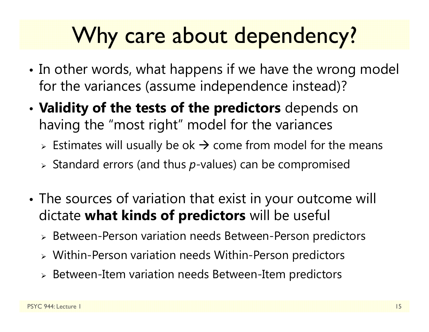### Why care about dependency?

- •• In other words, what happens if we have the wrong model for the variances (assume independence instead)?
- • **Validity of the tests of the predictors** depends on having the "most right" model for the variances
	- $\triangleright$  Estimates will usually be ok  $\rightarrow$  come from model for the means
	- Standard errors (and thus *p*-values) can be compromised
- • The sources of variation that exist in your outcome will dictate **what kinds of predictors** will be useful
	- Between-Person variation needs Between-Person predictors
	- Within-Person variation needs Within-Person predictors
	- Between-Item variation needs Between-Item predictors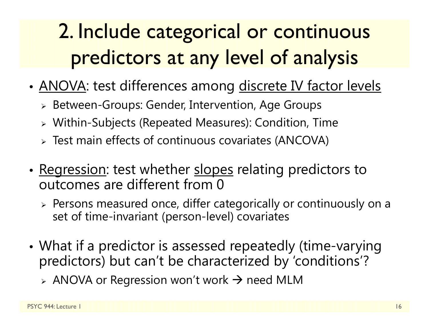### 2. Include categorical or continuous predictors at any level of analysis

- •• <u>ANOVA</u>: test differences among <u>discrete IV factor levels</u>
	- Between-Groups: Gender, Intervention, Age Groups
	- Within-Subjects (Repeated Measures): Condition, Time
	- Test main effects of continuous covariates (ANCOVA)
- •• <u>Regression</u>: test whether <u>slopes</u> relating predictors to outcomes are different from 0
	- $\triangleright$  Persons measured once, differ categorically or continuously on a set of time-invariant (person-level) covariates
- • What if a predictor is assessed repeatedly (time-varying predictors) but can't be characterized by 'conditions'?
	- $\triangleright$  ANOVA or Regression won't work  $\rightarrow$  need MLM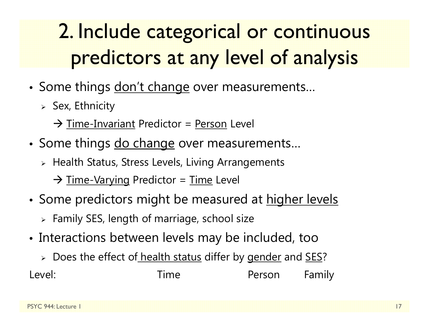### 2. Include categorical or continuous predictors at any level of analysis

- Some things <u>don't change</u> over measurements…
	- $>$  Sex, Ethnicity
		- $\rightarrow$  Time-Invariant Predictor = Person Level
- Some things <u>do change</u> over measurements…
	- $\triangleright$  Health Status, Stress Levels, Living Arrangements
		- → <u>Time-Varying</u> Predictor = <u>Time</u> Level
- Some predictors might be measured at <u>higher levels</u>
	- $\triangleright$  Family SES, length of marriage, school size
- Interactions between levels may be included, too
	- > Does the effect of health status differ by gender and <u>SES</u>?

Level: Time Person Family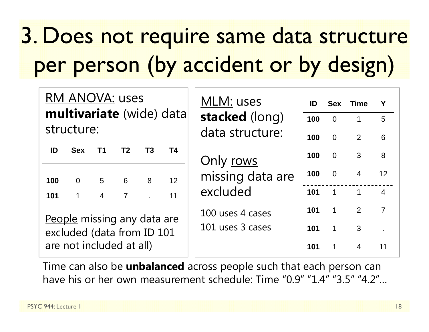# 3. Does not require same data structure per person (by accident or by design)

| <b>RM ANOVA: uses</b><br>multivariate (wide) data<br>structure: |                   |                |                |                        |    | MLM: uses<br>stacked (long)<br>data structure: | ID<br>100<br>100 | <b>Sex</b><br>$\overline{\mathbf{0}}$<br>$\overline{0}$ | <b>Time</b><br>$\mathbf 1$<br>2 | Y<br>$5\overline{)}$<br>6 |
|-----------------------------------------------------------------|-------------------|----------------|----------------|------------------------|----|------------------------------------------------|------------------|---------------------------------------------------------|---------------------------------|---------------------------|
| ID                                                              | <b>Sex</b>        | T <sub>1</sub> | T <sub>2</sub> | T3                     | T4 | Only rows<br>missing data are<br>excluded      | 100              | $\overline{0}$                                          | $\mathbf{3}$                    | 8                         |
| 100                                                             | $0 \qquad \qquad$ |                | $5\qquad 6$    | 8                      | 12 |                                                | 100              | $\overline{0}$                                          | $\overline{4}$                  | 12 <sup>2</sup>           |
| 101                                                             | $\mathbf 1$       | $\overline{4}$ | $\overline{7}$ | $\mathbf{L}^{(1)}$ and | 11 |                                                |                  | $101 \t1 \t1$                                           |                                 | $\overline{4}$            |
|                                                                 |                   |                |                |                        |    | 100 uses 4 cases                               | 101              | $\overline{1}$                                          | 2                               | $\overline{7}$            |
| People missing any data are<br>excluded (data from ID 101       |                   |                |                |                        |    | 101 uses 3 cases                               | 101              | $\overline{1}$                                          | 3                               |                           |
| are not included at all)                                        |                   |                |                |                        |    |                                                | 101              | $\mathbf{1}$                                            | $\overline{4}$                  | 11                        |

Time can also be **unbalanced** across people such that each person can have his or her own measurement schedule: Time "0.9" "1.4" "3.5" "4.2"…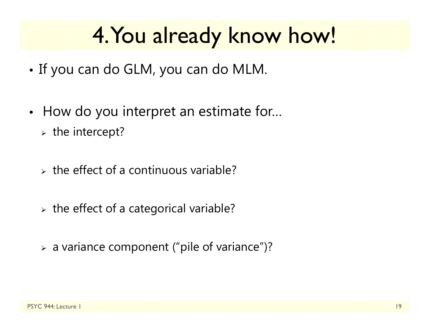### 4. You already know how!

- •• If you can do GLM, you can do MLM.
- •• How do you interpret an estimate for...  $\triangleright$  the intercept?
	- $\triangleright$  the effect of a continuous variable?
	- $\triangleright$  the effect of a categorical variable?
	- a variance component ("pile of variance")?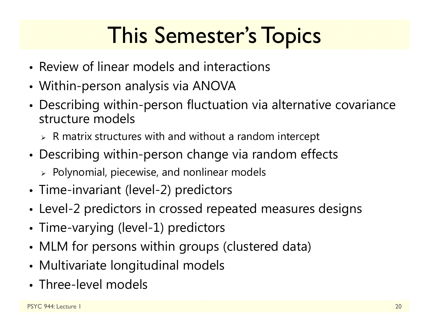# This Semester's Topics

- Review of linear models and interactions
- Within-person analysis via ANOVA
- • Describing within-person fluctuation via alternative covariance structure models
	- $\triangleright$   $\,$  R matrix structures with and without a random intercept
- • Describing within-person change via random effects
	- $\triangleright$  Polynomial, piecewise, and nonlinear models
- Time-invariant (level-2) predictors
- Level-2 predictors in crossed repeated measures designs
- Time-varying (level-1) predictors
- •MLM for persons within groups (clustered data)
- Multivariate longitudinal models
- Three-level models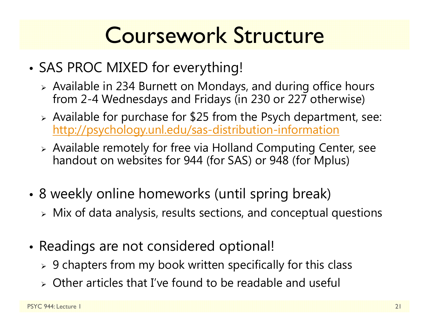### Coursework Structure

- • SAS PROC MIXED for everything!
	- Available in 234 Burnett on Mondays, and during office hours from 2-4 Wednesdays and Fridays (in 230 or 227 otherwise)
	- Available for purchase for \$25 from the Psych department, see: http://psychology.unl.edu/sas-distribution-information
	- Available remotely for free via Holland Computing Center, see handout on websites for 944 (for SAS) or 948 (for Mplus)
- • 8 weekly online homeworks (until spring break)
	- $\triangleright$  Mix of data analysis, results sections, and conceptual questions
- • Readings are not considered optional!
	- $\triangleright$  9 chapters from my book written specifically for this class
	- Other articles that I've found to be readable and useful